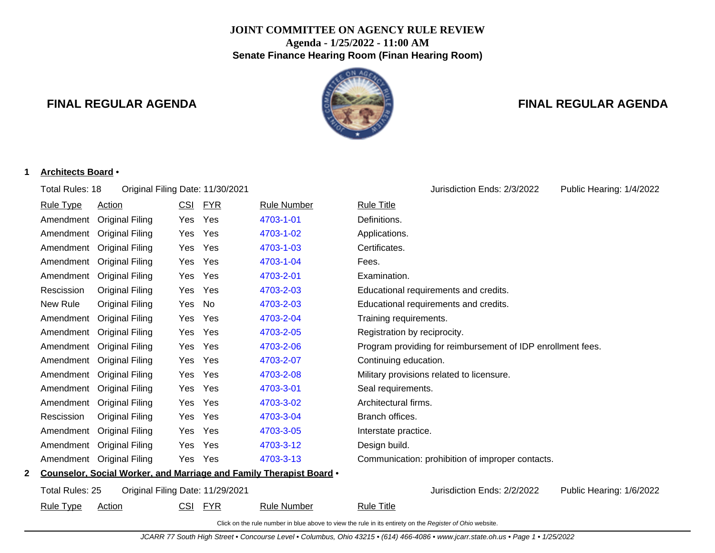# **JOINT COMMITTEE ON AGENCY RULE REVIEW Agenda - 1/25/2022 - 11:00 AM Senate Finance Hearing Room (Finan Hearing Room)**

# **FINAL REGULAR AGENDA FINAL REGULAR AGENDA**



#### **1 Architects Board** •

Total Rules: 18 Original Filing Date: 11/30/2021 Jurisdiction Ends: 2/3/2022 Public Hearing: 1/4/2022

|   | <b>Rule Type</b> | <u>Action</u>                    | <b>CSI</b> | <u>FYR</u> | <b>Rule Number</b>                                                  | <b>Rule Title</b>                                           |
|---|------------------|----------------------------------|------------|------------|---------------------------------------------------------------------|-------------------------------------------------------------|
|   | Amendment        | <b>Original Filing</b>           | Yes        | Yes        | 4703-1-01                                                           | Definitions.                                                |
|   | Amendment        | <b>Original Filing</b>           | Yes        | Yes        | 4703-1-02                                                           | Applications.                                               |
|   | Amendment        | <b>Original Filing</b>           | Yes        | Yes        | 4703-1-03                                                           | Certificates.                                               |
|   | Amendment        | <b>Original Filing</b>           | Yes        | Yes        | 4703-1-04                                                           | Fees.                                                       |
|   | Amendment        | <b>Original Filing</b>           | Yes        | Yes        | 4703-2-01                                                           | Examination.                                                |
|   | Rescission       | <b>Original Filing</b>           | Yes        | Yes        | 4703-2-03                                                           | Educational requirements and credits.                       |
|   | New Rule         | <b>Original Filing</b>           | Yes        | No         | 4703-2-03                                                           | Educational requirements and credits.                       |
|   | Amendment        | <b>Original Filing</b>           | Yes        | Yes        | 4703-2-04                                                           | Training requirements.                                      |
|   | Amendment        | <b>Original Filing</b>           | Yes        | Yes        | 4703-2-05                                                           | Registration by reciprocity.                                |
|   | Amendment        | <b>Original Filing</b>           | Yes        | Yes        | 4703-2-06                                                           | Program providing for reimbursement of IDP enrollment fees. |
|   | Amendment        | <b>Original Filing</b>           | Yes        | Yes        | 4703-2-07                                                           | Continuing education.                                       |
|   | Amendment        | <b>Original Filing</b>           | Yes        | Yes        | 4703-2-08                                                           | Military provisions related to licensure.                   |
|   | Amendment        | <b>Original Filing</b>           | Yes        | Yes        | 4703-3-01                                                           | Seal requirements.                                          |
|   | Amendment        | <b>Original Filing</b>           | Yes        | Yes        | 4703-3-02                                                           | Architectural firms.                                        |
|   | Rescission       | <b>Original Filing</b>           | Yes        | Yes        | 4703-3-04                                                           | Branch offices.                                             |
|   | Amendment        | <b>Original Filing</b>           | Yes        | Yes        | 4703-3-05                                                           | Interstate practice.                                        |
|   | Amendment        | <b>Original Filing</b>           | Yes        | Yes        | 4703-3-12                                                           | Design build.                                               |
|   |                  | Amendment Original Filing        | Yes        | Yes        | 4703-3-13                                                           | Communication: prohibition of improper contacts.            |
| 2 |                  |                                  |            |            | Counselor, Social Worker, and Marriage and Family Therapist Board . |                                                             |
|   | Total Rules: 25  | Original Filing Date: 11/29/2021 |            |            |                                                                     | Jurisdiction Ends: 2/2/2022<br>Public Hearing: 1/6/2022     |
|   | <b>Rule Type</b> | <b>Action</b>                    | <u>CSI</u> | <u>FYR</u> | <b>Rule Number</b>                                                  | <b>Rule Title</b>                                           |
|   |                  |                                  |            |            |                                                                     |                                                             |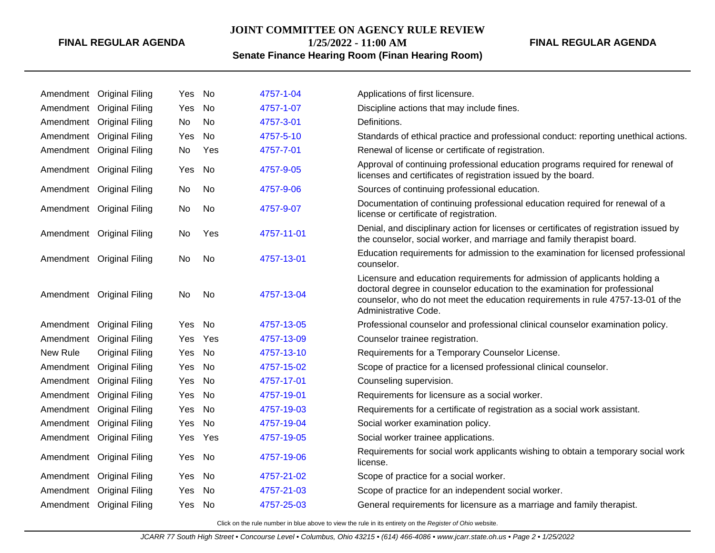# **JOINT COMMITTEE ON AGENCY RULE REVIEW**

**1/25/2022 - 11:00 AM**

# **FINAL REGULAR AGENDA**

# **Senate Finance Hearing Room (Finan Hearing Room)**

|           | Amendment Original Filing | Yes | . No      | 4757-1-04  | Applications of first licensure.                                                                                                                                                                                                                                    |
|-----------|---------------------------|-----|-----------|------------|---------------------------------------------------------------------------------------------------------------------------------------------------------------------------------------------------------------------------------------------------------------------|
| Amendment | <b>Original Filing</b>    | Yes | No        | 4757-1-07  | Discipline actions that may include fines.                                                                                                                                                                                                                          |
|           | Amendment Original Filing | No. | No        | 4757-3-01  | Definitions.                                                                                                                                                                                                                                                        |
|           | Amendment Original Filing | Yes | No        | 4757-5-10  | Standards of ethical practice and professional conduct: reporting unethical actions.                                                                                                                                                                                |
|           | Amendment Original Filing | No  | Yes       | 4757-7-01  | Renewal of license or certificate of registration.                                                                                                                                                                                                                  |
|           | Amendment Original Filing | Yes | No        | 4757-9-05  | Approval of continuing professional education programs required for renewal of<br>licenses and certificates of registration issued by the board.                                                                                                                    |
|           | Amendment Original Filing | No. | No        | 4757-9-06  | Sources of continuing professional education.                                                                                                                                                                                                                       |
|           | Amendment Original Filing | No  | No        | 4757-9-07  | Documentation of continuing professional education required for renewal of a<br>license or certificate of registration.                                                                                                                                             |
|           | Amendment Original Filing | No. | Yes       | 4757-11-01 | Denial, and disciplinary action for licenses or certificates of registration issued by<br>the counselor, social worker, and marriage and family therapist board.                                                                                                    |
|           | Amendment Original Filing | No  | <b>No</b> | 4757-13-01 | Education requirements for admission to the examination for licensed professional<br>counselor.                                                                                                                                                                     |
|           | Amendment Original Filing | No  | No        | 4757-13-04 | Licensure and education requirements for admission of applicants holding a<br>doctoral degree in counselor education to the examination for professional<br>counselor, who do not meet the education requirements in rule 4757-13-01 of the<br>Administrative Code. |
| Amendment | <b>Original Filing</b>    | Yes | No.       | 4757-13-05 | Professional counselor and professional clinical counselor examination policy.                                                                                                                                                                                      |
| Amendment | <b>Original Filing</b>    | Yes | Yes       | 4757-13-09 | Counselor trainee registration.                                                                                                                                                                                                                                     |
| New Rule  | <b>Original Filing</b>    | Yes | No        | 4757-13-10 | Requirements for a Temporary Counselor License.                                                                                                                                                                                                                     |
| Amendment | <b>Original Filing</b>    | Yes | No        | 4757-15-02 | Scope of practice for a licensed professional clinical counselor.                                                                                                                                                                                                   |
| Amendment | <b>Original Filing</b>    | Yes | No        | 4757-17-01 | Counseling supervision.                                                                                                                                                                                                                                             |
| Amendment | <b>Original Filing</b>    | Yes | No        | 4757-19-01 | Requirements for licensure as a social worker.                                                                                                                                                                                                                      |
| Amendment | <b>Original Filing</b>    | Yes | No        | 4757-19-03 | Requirements for a certificate of registration as a social work assistant.                                                                                                                                                                                          |
| Amendment | <b>Original Filing</b>    | Yes | <b>No</b> | 4757-19-04 | Social worker examination policy.                                                                                                                                                                                                                                   |
|           | Amendment Original Filing | Yes | Yes       | 4757-19-05 | Social worker trainee applications.                                                                                                                                                                                                                                 |
|           | Amendment Original Filing | Yes | . No      | 4757-19-06 | Requirements for social work applicants wishing to obtain a temporary social work<br>license.                                                                                                                                                                       |
| Amendment | <b>Original Filing</b>    | Yes | No        | 4757-21-02 | Scope of practice for a social worker.                                                                                                                                                                                                                              |
| Amendment | <b>Original Filing</b>    | Yes | No.       | 4757-21-03 | Scope of practice for an independent social worker.                                                                                                                                                                                                                 |
|           | Amendment Original Filing | Yes | No        | 4757-25-03 | General requirements for licensure as a marriage and family therapist.                                                                                                                                                                                              |
|           |                           |     |           |            |                                                                                                                                                                                                                                                                     |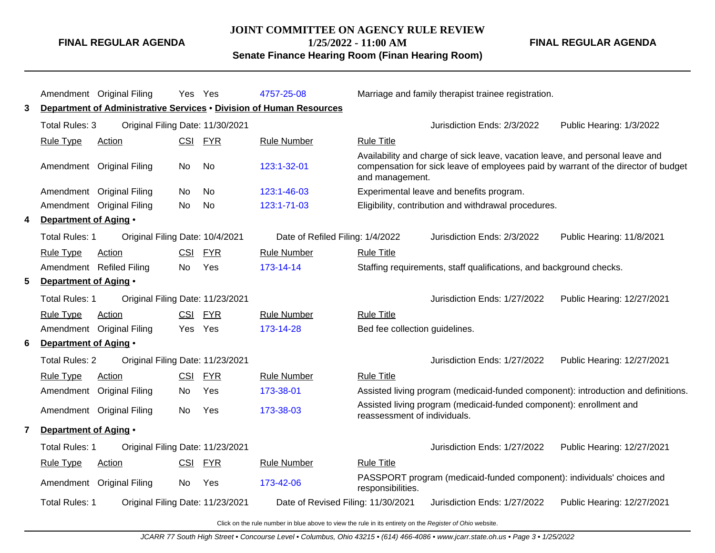#### **JOINT COMMITTEE ON AGENCY RULE REVIEW**

**Senate Finance Hearing Room (Finan Hearing Room)**

**1/25/2022 - 11:00 AM**

**FINAL REGULAR AGENDA**

Amendment Original Filing Yes Yes [4757-25-08](http://www.registerofohio.state.oh.us/jsps/publicdisplayrules/processPublicDisplayRules.jsp?entered_rule_no=4757-25-08&doWhat=GETBYRULENUM&raID=0) Marriage and family therapist trainee registration. **3 Department of Administrative Services** • **Division of Human Resources** Total Rules: 3 Original Filing Date: 11/30/2021 Jurisdiction Ends: 2/3/2022 Public Hearing: 1/3/2022 Rule Type Action **CSI FYR** Rule Number Rule Title Amendment Original Filing No No [123:1-32-01](http://www.registerofohio.state.oh.us/jsps/publicdisplayrules/processPublicDisplayRules.jsp?entered_rule_no=123:1-32-01&doWhat=GETBYRULENUM&raID=0) Availability and charge of sick leave, vacation leave, and personal leave and compensation for sick leave of employees paid by warrant of the director of budget and management. Amendment Original Filing No No [123:1-46-03](http://www.registerofohio.state.oh.us/jsps/publicdisplayrules/processPublicDisplayRules.jsp?entered_rule_no=123:1-46-03&doWhat=GETBYRULENUM&raID=0) Experimental leave and benefits program. Amendment Original Filing No No [123:1-71-03](http://www.registerofohio.state.oh.us/jsps/publicdisplayrules/processPublicDisplayRules.jsp?entered_rule_no=123:1-71-03&doWhat=GETBYRULENUM&raID=0) Eligibility, contribution and withdrawal procedures. **4 Department of Aging** • Total Rules: 1 Original Filing Date: 10/4/2021 Date of Refiled Filing: 1/4/2022 Jurisdiction Ends: 2/3/2022 Public Hearing: 11/8/2021 Rule Type Action CSI FYR Rule Number Rule Title Amendment Refiled Filing No Yes [173-14-14](http://www.registerofohio.state.oh.us/jsps/publicdisplayrules/processPublicDisplayRules.jsp?entered_rule_no=173-14-14&doWhat=GETBYRULENUM&raID=0) Staffing requirements, staff qualifications, and background checks. **5 Department of Aging** • Total Rules: 1 Original Filing Date: 11/23/2021 Jurisdiction Ends: 1/27/2022 Public Hearing: 12/27/2021 Rule Type Action **CSI FYR** Rule Number Rule Title Amendment Original Filing Yes Yes [173-14-28](http://www.registerofohio.state.oh.us/jsps/publicdisplayrules/processPublicDisplayRules.jsp?entered_rule_no=173-14-28&doWhat=GETBYRULENUM&raID=0) Bed fee collection guidelines. **6 Department of Aging** • Total Rules: 2 Original Filing Date: 11/23/2021 Jurisdiction Ends: 1/27/2022 Public Hearing: 12/27/2021 Rule Type Action **CSI FYR** Rule Number Rule Title Amendment Original Filing No Yes [173-38-01](http://www.registerofohio.state.oh.us/jsps/publicdisplayrules/processPublicDisplayRules.jsp?entered_rule_no=173-38-01&doWhat=GETBYRULENUM&raID=0) Assisted living program (medicaid-funded component): introduction and definitions. Amendment Original Filing No Yes [173-38-03](http://www.registerofohio.state.oh.us/jsps/publicdisplayrules/processPublicDisplayRules.jsp?entered_rule_no=173-38-03&doWhat=GETBYRULENUM&raID=0) Assisted living program (medicaid-funded component): enrollment and reassessment of individuals. **7 Department of Aging** • Total Rules: 1 Original Filing Date: 11/23/2021 Jurisdiction Ends: 1/27/2022 Public Hearing: 12/27/2021 Rule Type Action **CSI FYR** Rule Number Rule Title Amendment Original Filing No Yes [173-42-06](http://www.registerofohio.state.oh.us/jsps/publicdisplayrules/processPublicDisplayRules.jsp?entered_rule_no=173-42-06&doWhat=GETBYRULENUM&raID=0) PASSPORT program (medicaid-funded component): individuals' choices and responsibilities. Total Rules: 1 Original Filing Date: 11/23/2021 Date of Revised Filing: 11/30/2021 Jurisdiction Ends: 1/27/2022 Public Hearing: 12/27/2021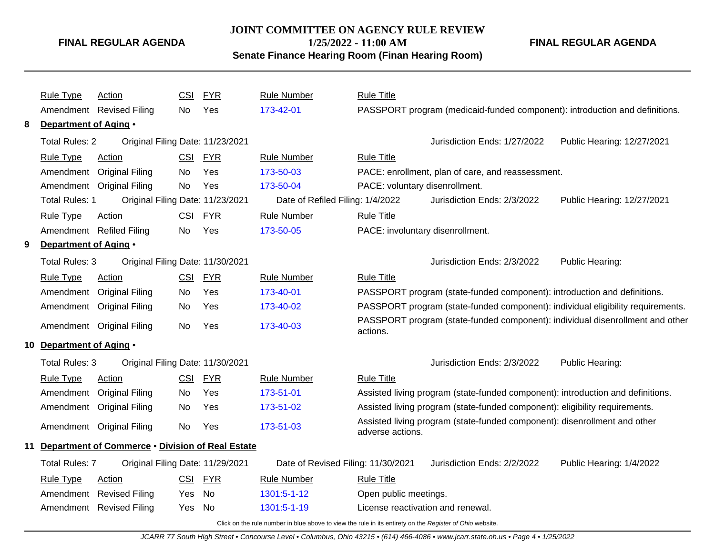# **JOINT COMMITTEE ON AGENCY RULE REVIEW 1/25/2022 - 11:00 AM**

**FINAL REGULAR AGENDA**

**Senate Finance Hearing Room (Finan Hearing Room)**

|    | <b>Rule Type</b>         | <b>Action</b>                                    | <b>CSI</b> | <b>FYR</b> | <b>Rule Number</b>                                                                                       | <b>Rule Title</b>                 |                                                                                 |                            |
|----|--------------------------|--------------------------------------------------|------------|------------|----------------------------------------------------------------------------------------------------------|-----------------------------------|---------------------------------------------------------------------------------|----------------------------|
|    |                          | Amendment Revised Filing                         | No.        | Yes        | 173-42-01                                                                                                |                                   | PASSPORT program (medicaid-funded component): introduction and definitions.     |                            |
| 8  | Department of Aging •    |                                                  |            |            |                                                                                                          |                                   |                                                                                 |                            |
|    | <b>Total Rules: 2</b>    | Original Filing Date: 11/23/2021                 |            |            |                                                                                                          |                                   | Jurisdiction Ends: 1/27/2022                                                    | Public Hearing: 12/27/2021 |
|    | <b>Rule Type</b>         | <b>Action</b>                                    | <b>CSI</b> | <b>FYR</b> | <b>Rule Number</b>                                                                                       | <b>Rule Title</b>                 |                                                                                 |                            |
|    | Amendment                | <b>Original Filing</b>                           | No.        | Yes        | 173-50-03                                                                                                |                                   | PACE: enrollment, plan of care, and reassessment.                               |                            |
|    | Amendment                | <b>Original Filing</b>                           | No         | Yes        | 173-50-04                                                                                                | PACE: voluntary disenrollment.    |                                                                                 |                            |
|    | <b>Total Rules: 1</b>    | Original Filing Date: 11/23/2021                 |            |            | Date of Refiled Filing: 1/4/2022                                                                         |                                   | Jurisdiction Ends: 2/3/2022                                                     | Public Hearing: 12/27/2021 |
|    | <b>Rule Type</b>         | Action                                           | CSI        | <b>FYR</b> | <b>Rule Number</b>                                                                                       | <b>Rule Title</b>                 |                                                                                 |                            |
|    |                          | Amendment Refiled Filing                         | No         | Yes        | 173-50-05                                                                                                | PACE: involuntary disenrollment.  |                                                                                 |                            |
| 9  | Department of Aging .    |                                                  |            |            |                                                                                                          |                                   |                                                                                 |                            |
|    | Total Rules: 3           | Original Filing Date: 11/30/2021                 |            |            |                                                                                                          |                                   | Jurisdiction Ends: 2/3/2022                                                     | Public Hearing:            |
|    | <b>Rule Type</b>         | Action                                           | <u>CSI</u> | <b>FYR</b> | <b>Rule Number</b>                                                                                       | <b>Rule Title</b>                 |                                                                                 |                            |
|    | Amendment                | <b>Original Filing</b>                           | No.        | Yes        | 173-40-01                                                                                                |                                   | PASSPORT program (state-funded component): introduction and definitions.        |                            |
|    |                          | Amendment Original Filing                        | No         | Yes        | 173-40-02                                                                                                |                                   | PASSPORT program (state-funded component): individual eligibility requirements. |                            |
|    |                          | Amendment Original Filing                        | No.        | Yes        | 173-40-03                                                                                                | actions.                          | PASSPORT program (state-funded component): individual disenrollment and other   |                            |
|    | 10 Department of Aging . |                                                  |            |            |                                                                                                          |                                   |                                                                                 |                            |
|    | <b>Total Rules: 3</b>    | Original Filing Date: 11/30/2021                 |            |            |                                                                                                          |                                   | Jurisdiction Ends: 2/3/2022                                                     | Public Hearing:            |
|    | <b>Rule Type</b>         | <b>Action</b>                                    | <b>CSI</b> | <b>FYR</b> | <b>Rule Number</b>                                                                                       | <b>Rule Title</b>                 |                                                                                 |                            |
|    | Amendment                | <b>Original Filing</b>                           | No.        | Yes        | 173-51-01                                                                                                |                                   | Assisted living program (state-funded component): introduction and definitions. |                            |
|    |                          | Amendment Original Filing                        | No         | Yes        | 173-51-02                                                                                                |                                   | Assisted living program (state-funded component): eligibility requirements.     |                            |
|    |                          | Amendment Original Filing                        | No         | Yes        | 173-51-03                                                                                                | adverse actions.                  | Assisted living program (state-funded component): disenrollment and other       |                            |
| 11 |                          | Department of Commerce . Division of Real Estate |            |            |                                                                                                          |                                   |                                                                                 |                            |
|    | <b>Total Rules: 7</b>    | Original Filing Date: 11/29/2021                 |            |            | Date of Revised Filing: 11/30/2021                                                                       |                                   | Jurisdiction Ends: 2/2/2022                                                     | Public Hearing: 1/4/2022   |
|    | <b>Rule Type</b>         | Action                                           | <b>CSI</b> | <b>FYR</b> | <b>Rule Number</b>                                                                                       | <b>Rule Title</b>                 |                                                                                 |                            |
|    |                          | Amendment Revised Filing                         | Yes        | No         | 1301:5-1-12                                                                                              | Open public meetings.             |                                                                                 |                            |
|    |                          | Amendment Revised Filing                         | Yes        | No         | 1301:5-1-19                                                                                              | License reactivation and renewal. |                                                                                 |                            |
|    |                          |                                                  |            |            | Click on the rule number in blue above to view the rule in its entirety on the Register of Ohio website. |                                   |                                                                                 |                            |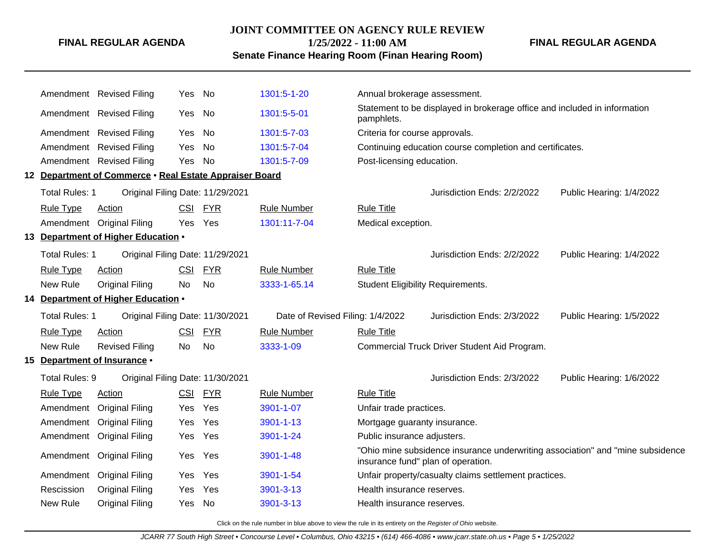#### **JOINT COMMITTEE ON AGENCY RULE REVIEW**

**1/25/2022 - 11:00 AM**

**FINAL REGULAR AGENDA**

**Senate Finance Hearing Room (Finan Hearing Room)**

Amendment Revised Filing Yes No [1301:5-1-20](http://www.registerofohio.state.oh.us/jsps/publicdisplayrules/processPublicDisplayRules.jsp?entered_rule_no=1301:5-1-20&doWhat=GETBYRULENUM&raID=0) Annual brokerage assessment. Amendment Revised Filing Yes No [1301:5-5-01](http://www.registerofohio.state.oh.us/jsps/publicdisplayrules/processPublicDisplayRules.jsp?entered_rule_no=1301:5-5-01&doWhat=GETBYRULENUM&raID=0) Statement to be displayed in brokerage office and included in information pamphlets. Amendment Revised Filing Yes No [1301:5-7-03](http://www.registerofohio.state.oh.us/jsps/publicdisplayrules/processPublicDisplayRules.jsp?entered_rule_no=1301:5-7-03&doWhat=GETBYRULENUM&raID=0) Criteria for course approvals. Amendment Revised Filing Yes No [1301:5-7-04](http://www.registerofohio.state.oh.us/jsps/publicdisplayrules/processPublicDisplayRules.jsp?entered_rule_no=1301:5-7-04&doWhat=GETBYRULENUM&raID=0) Continuing education course completion and certificates. Amendment Revised Filing Yes No [1301:5-7-09](http://www.registerofohio.state.oh.us/jsps/publicdisplayrules/processPublicDisplayRules.jsp?entered_rule_no=1301:5-7-09&doWhat=GETBYRULENUM&raID=0) Post-licensing education. **12 Department of Commerce** • **Real Estate Appraiser Board** Total Rules: 1 Original Filing Date: 11/29/2021 Jurisdiction Ends: 2/2/2022 Public Hearing: 1/4/2022 Rule Type Action **CSI FYR** Rule Number Rule Title Amendment Original Filing Yes Yes [1301:11-7-04](http://www.registerofohio.state.oh.us/jsps/publicdisplayrules/processPublicDisplayRules.jsp?entered_rule_no=1301:11-7-04&doWhat=GETBYRULENUM&raID=0) Medical exception. **13 Department of Higher Education** • Total Rules: 1 Original Filing Date: 11/29/2021 Jurisdiction Ends: 2/2/2022 Public Hearing: 1/4/2022 Rule Type Action CSI FYR Rule Number Rule Title New Rule Original Filing No No [3333-1-65.14](http://www.registerofohio.state.oh.us/jsps/publicdisplayrules/processPublicDisplayRules.jsp?entered_rule_no=3333-1-65.14&doWhat=GETBYRULENUM&raID=0) Student Eligibility Requirements. **14 Department of Higher Education** • Total Rules: 1 Original Filing Date: 11/30/2021 Date of Revised Filing: 1/4/2022 Jurisdiction Ends: 2/3/2022 Public Hearing: 1/5/2022 Rule Type Action **CSI FYR** Rule Number Rule Title New Rule Revised Filing No No [3333-1-09](http://www.registerofohio.state.oh.us/jsps/publicdisplayrules/processPublicDisplayRules.jsp?entered_rule_no=3333-1-09&doWhat=GETBYRULENUM&raID=0) Commercial Truck Driver Student Aid Program. **15 Department of Insurance** • Total Rules: 9 Original Filing Date: 11/30/2021 Jurisdiction Ends: 2/3/2022 Public Hearing: 1/6/2022 Rule Type Action **CSI FYR** Rule Number Rule Title Amendment Original Filing Yes Yes [3901-1-07](http://www.registerofohio.state.oh.us/jsps/publicdisplayrules/processPublicDisplayRules.jsp?entered_rule_no=3901-1-07&doWhat=GETBYRULENUM&raID=0) Unfair trade practices. Amendment Original Filing Yes Yes [3901-1-13](http://www.registerofohio.state.oh.us/jsps/publicdisplayrules/processPublicDisplayRules.jsp?entered_rule_no=3901-1-13&doWhat=GETBYRULENUM&raID=0) Mortgage guaranty insurance. Amendment Original Filing Yes Yes [3901-1-24](http://www.registerofohio.state.oh.us/jsps/publicdisplayrules/processPublicDisplayRules.jsp?entered_rule_no=3901-1-24&doWhat=GETBYRULENUM&raID=0) Public insurance adjusters. Amendment Original Filing Yes Yes [3901-1-48](http://www.registerofohio.state.oh.us/jsps/publicdisplayrules/processPublicDisplayRules.jsp?entered_rule_no=3901-1-48&doWhat=GETBYRULENUM&raID=0) "Ohio mine subsidence insurance underwriting association" and "mine subsidence insurance fund" plan of operation. Amendment Original Filing Yes Yes [3901-1-54](http://www.registerofohio.state.oh.us/jsps/publicdisplayrules/processPublicDisplayRules.jsp?entered_rule_no=3901-1-54&doWhat=GETBYRULENUM&raID=0) Unfair property/casualty claims settlement practices. Rescission Original Filing Yes Yes [3901-3-13](http://www.registerofohio.state.oh.us/jsps/publicdisplayrules/processPublicDisplayRules.jsp?entered_rule_no=3901-3-13&doWhat=GETBYRULENUM&raID=0) Health insurance reserves. New Rule Original Filing Yes No [3901-3-13](http://www.registerofohio.state.oh.us/jsps/publicdisplayrules/processPublicDisplayRules.jsp?entered_rule_no=3901-3-13&doWhat=GETBYRULENUM&raID=0) Health insurance reserves.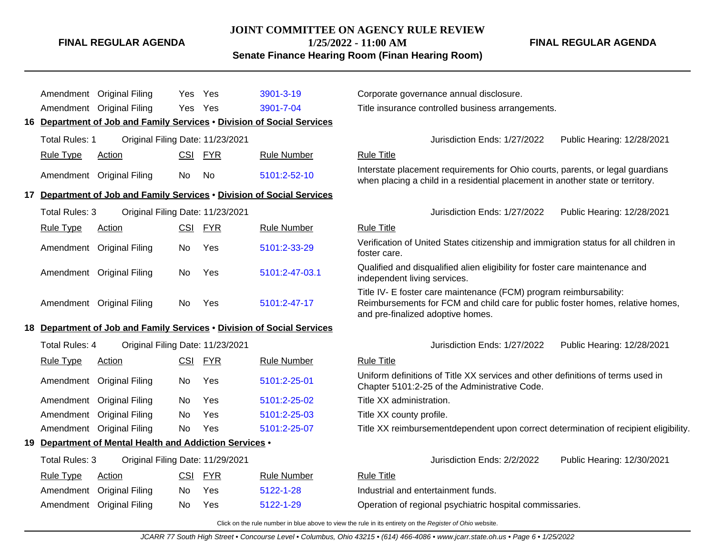# **JOINT COMMITTEE ON AGENCY RULE REVIEW**

**1/25/2022 - 11:00 AM**

**Senate Finance Hearing Room (Finan Hearing Room)**

**FINAL REGULAR AGENDA**

|    |                       | Amendment Original Filing                            | Yes        | Yes        | 3901-3-19                                                           | Corporate governance annual disclosure.                                                                                                                                                   |
|----|-----------------------|------------------------------------------------------|------------|------------|---------------------------------------------------------------------|-------------------------------------------------------------------------------------------------------------------------------------------------------------------------------------------|
|    |                       | Amendment Original Filing                            | Yes        | Yes        | 3901-7-04                                                           | Title insurance controlled business arrangements.                                                                                                                                         |
| 16 |                       |                                                      |            |            | Department of Job and Family Services . Division of Social Services |                                                                                                                                                                                           |
|    | <b>Total Rules: 1</b> | Original Filing Date: 11/23/2021                     |            |            |                                                                     | Jurisdiction Ends: 1/27/2022<br>Public Hearing: 12/28/2021                                                                                                                                |
|    | <b>Rule Type</b>      | <b>Action</b>                                        | <b>CSI</b> | <b>FYR</b> | <b>Rule Number</b>                                                  | <b>Rule Title</b>                                                                                                                                                                         |
|    |                       | Amendment Original Filing                            | No         | No         | 5101:2-52-10                                                        | Interstate placement requirements for Ohio courts, parents, or legal guardians<br>when placing a child in a residential placement in another state or territory.                          |
| 17 |                       |                                                      |            |            | Department of Job and Family Services . Division of Social Services |                                                                                                                                                                                           |
|    | <b>Total Rules: 3</b> | Original Filing Date: 11/23/2021                     |            |            |                                                                     | Jurisdiction Ends: 1/27/2022<br>Public Hearing: 12/28/2021                                                                                                                                |
|    | <b>Rule Type</b>      | Action                                               | <b>CSI</b> | <b>FYR</b> | <b>Rule Number</b>                                                  | <b>Rule Title</b>                                                                                                                                                                         |
|    |                       | Amendment Original Filing                            | No         | Yes        | 5101:2-33-29                                                        | Verification of United States citizenship and immigration status for all children in<br>foster care.                                                                                      |
|    |                       | Amendment Original Filing                            | No.        | Yes        | 5101:2-47-03.1                                                      | Qualified and disqualified alien eligibility for foster care maintenance and<br>independent living services.                                                                              |
|    |                       | Amendment Original Filing                            | No         | Yes        | 5101:2-47-17                                                        | Title IV- E foster care maintenance (FCM) program reimbursability:<br>Reimbursements for FCM and child care for public foster homes, relative homes,<br>and pre-finalized adoptive homes. |
| 18 |                       |                                                      |            |            | Department of Job and Family Services . Division of Social Services |                                                                                                                                                                                           |
|    | <b>Total Rules: 4</b> | Original Filing Date: 11/23/2021                     |            |            |                                                                     | Jurisdiction Ends: 1/27/2022<br>Public Hearing: 12/28/2021                                                                                                                                |
|    | <b>Rule Type</b>      | Action                                               |            | CSI FYR    | <b>Rule Number</b>                                                  | <b>Rule Title</b>                                                                                                                                                                         |
|    |                       | Amendment Original Filing                            | No.        | Yes        | 5101:2-25-01                                                        | Uniform definitions of Title XX services and other definitions of terms used in<br>Chapter 5101:2-25 of the Administrative Code.                                                          |
|    |                       | Amendment Original Filing                            | No         | Yes        | 5101:2-25-02                                                        | Title XX administration.                                                                                                                                                                  |
|    | Amendment             | <b>Original Filing</b>                               | No.        | Yes        | 5101:2-25-03                                                        | Title XX county profile.                                                                                                                                                                  |
|    |                       | Amendment Original Filing                            | No         | Yes        | 5101:2-25-07                                                        | Title XX reimbursementdependent upon correct determination of recipient eligibility.                                                                                                      |
| 19 |                       | Department of Mental Health and Addiction Services . |            |            |                                                                     |                                                                                                                                                                                           |
|    | <b>Total Rules: 3</b> | Original Filing Date: 11/29/2021                     |            |            |                                                                     | Jurisdiction Ends: 2/2/2022<br>Public Hearing: 12/30/2021                                                                                                                                 |
|    | <b>Rule Type</b>      | Action                                               | <b>CSI</b> | <b>FYR</b> | <b>Rule Number</b>                                                  | <b>Rule Title</b>                                                                                                                                                                         |
|    | Amendment             | <b>Original Filing</b>                               | No.        | Yes        | 5122-1-28                                                           | Industrial and entertainment funds.                                                                                                                                                       |
|    |                       | Amendment Original Filing                            | No.        | Yes        | 5122-1-29                                                           | Operation of regional psychiatric hospital commissaries.                                                                                                                                  |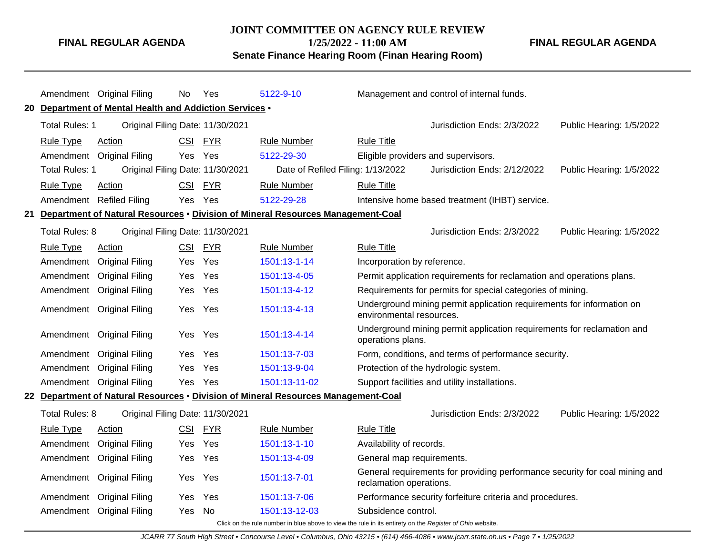# **JOINT COMMITTEE ON AGENCY RULE REVIEW**

**FINAL REGULAR AGENDA**

**1/25/2022 - 11:00 AM**

**Senate Finance Hearing Room (Finan Hearing Room)**

**FINAL REGULAR AGENDA**

|                       | Amendment Original Filing                               | No.        | Yes        | 5122-9-10                                                                          |                                                                                                        | Management and control of internal funds.                              |                          |  |
|-----------------------|---------------------------------------------------------|------------|------------|------------------------------------------------------------------------------------|--------------------------------------------------------------------------------------------------------|------------------------------------------------------------------------|--------------------------|--|
|                       | 20 Department of Mental Health and Addiction Services . |            |            |                                                                                    |                                                                                                        |                                                                        |                          |  |
| <b>Total Rules: 1</b> | Original Filing Date: 11/30/2021                        |            |            |                                                                                    |                                                                                                        | Jurisdiction Ends: 2/3/2022                                            | Public Hearing: 1/5/2022 |  |
| <b>Rule Type</b>      | Action                                                  | <b>CSI</b> | <b>FYR</b> | <b>Rule Number</b>                                                                 | <b>Rule Title</b>                                                                                      |                                                                        |                          |  |
|                       | Amendment Original Filing                               | Yes.       | Yes        | 5122-29-30                                                                         | Eligible providers and supervisors.                                                                    |                                                                        |                          |  |
| <b>Total Rules: 1</b> | Original Filing Date: 11/30/2021                        |            |            | Date of Refiled Filing: 1/13/2022                                                  |                                                                                                        | Jurisdiction Ends: 2/12/2022                                           | Public Hearing: 1/5/2022 |  |
| <b>Rule Type</b>      | Action                                                  | <b>CSI</b> | <b>FYR</b> | Rule Number                                                                        | <b>Rule Title</b>                                                                                      |                                                                        |                          |  |
|                       | Amendment Refiled Filing                                | Yes Yes    |            | 5122-29-28                                                                         |                                                                                                        | Intensive home based treatment (IHBT) service.                         |                          |  |
|                       |                                                         |            |            | 21 Department of Natural Resources • Division of Mineral Resources Management-Coal |                                                                                                        |                                                                        |                          |  |
| Total Rules: 8        | Original Filing Date: 11/30/2021                        |            |            |                                                                                    |                                                                                                        | Jurisdiction Ends: 2/3/2022                                            | Public Hearing: 1/5/2022 |  |
| <b>Rule Type</b>      | Action                                                  | <b>CSI</b> | <u>FYR</u> | <b>Rule Number</b>                                                                 | <b>Rule Title</b>                                                                                      |                                                                        |                          |  |
| Amendment             | <b>Original Filing</b>                                  | Yes.       | Yes        | 1501:13-1-14                                                                       | Incorporation by reference.                                                                            |                                                                        |                          |  |
| Amendment             | <b>Original Filing</b>                                  | Yes.       | Yes        | 1501:13-4-05                                                                       |                                                                                                        | Permit application requirements for reclamation and operations plans.  |                          |  |
| Amendment             | <b>Original Filing</b>                                  | Yes        | Yes        | 1501:13-4-12                                                                       |                                                                                                        | Requirements for permits for special categories of mining.             |                          |  |
|                       | Amendment Original Filing                               | Yes        | Yes        | 1501:13-4-13                                                                       | Underground mining permit application requirements for information on<br>environmental resources.      |                                                                        |                          |  |
|                       | Amendment Original Filing                               | Yes.       | Yes        | 1501:13-4-14                                                                       | operations plans.                                                                                      | Underground mining permit application requirements for reclamation and |                          |  |
| Amendment             | <b>Original Filing</b>                                  | Yes        | Yes        | 1501:13-7-03                                                                       |                                                                                                        | Form, conditions, and terms of performance security.                   |                          |  |
| Amendment             | <b>Original Filing</b>                                  | Yes.       | Yes        | 1501:13-9-04                                                                       |                                                                                                        | Protection of the hydrologic system.                                   |                          |  |
|                       | Amendment Original Filing                               | Yes Yes    |            | 1501:13-11-02                                                                      |                                                                                                        | Support facilities and utility installations.                          |                          |  |
|                       |                                                         |            |            | 22 Department of Natural Resources . Division of Mineral Resources Management-Coal |                                                                                                        |                                                                        |                          |  |
| Total Rules: 8        | Original Filing Date: 11/30/2021                        |            |            |                                                                                    |                                                                                                        | Jurisdiction Ends: 2/3/2022                                            | Public Hearing: 1/5/2022 |  |
| <b>Rule Type</b>      | Action                                                  | <b>CSI</b> | <b>FYR</b> | <b>Rule Number</b>                                                                 | <b>Rule Title</b>                                                                                      |                                                                        |                          |  |
| Amendment             | <b>Original Filing</b>                                  | Yes.       | Yes        | 1501:13-1-10                                                                       | Availability of records.                                                                               |                                                                        |                          |  |
| Amendment             | <b>Original Filing</b>                                  | Yes        | Yes        | 1501:13-4-09                                                                       | General map requirements.                                                                              |                                                                        |                          |  |
| Amendment             | <b>Original Filing</b>                                  | Yes.       | Yes        | 1501:13-7-01                                                                       | General requirements for providing performance security for coal mining and<br>reclamation operations. |                                                                        |                          |  |
| Amendment             | <b>Original Filing</b>                                  | Yes.       | Yes        | 1501:13-7-06                                                                       |                                                                                                        | Performance security forfeiture criteria and procedures.               |                          |  |
|                       | Amendment Original Filing                               | Yes        | No         | 1501:13-12-03                                                                      | Subsidence control.                                                                                    |                                                                        |                          |  |
|                       |                                                         |            |            |                                                                                    |                                                                                                        |                                                                        |                          |  |

Click on the rule number in blue above to view the rule in its entirety on the Register of Ohio website.

JCARR 77 South High Street • Concourse Level • Columbus, Ohio 43215 • (614) 466-4086 • www.jcarr.state.oh.us • Page 7 • 1/25/2022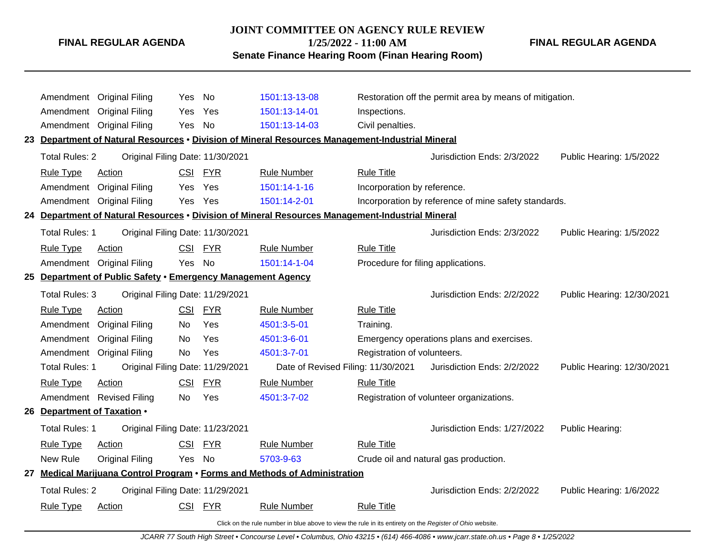# **JOINT COMMITTEE ON AGENCY RULE REVIEW**

**1/25/2022 - 11:00 AM**

**Senate Finance Hearing Room (Finan Hearing Room)**

**FINAL REGULAR AGENDA**

|                             | Amendment Original Filing                                    | Yes        | No         | 1501:13-13-08                                                                                            |                                    | Restoration off the permit area by means of mitigation. |                            |
|-----------------------------|--------------------------------------------------------------|------------|------------|----------------------------------------------------------------------------------------------------------|------------------------------------|---------------------------------------------------------|----------------------------|
| Amendment                   | <b>Original Filing</b>                                       | Yes        | Yes        | 1501:13-14-01                                                                                            | Inspections.                       |                                                         |                            |
|                             | Amendment Original Filing                                    | Yes No     |            | 1501:13-14-03                                                                                            | Civil penalties.                   |                                                         |                            |
|                             |                                                              |            |            | 23 Department of Natural Resources . Division of Mineral Resources Management-Industrial Mineral         |                                    |                                                         |                            |
| <b>Total Rules: 2</b>       | Original Filing Date: 11/30/2021                             |            |            |                                                                                                          |                                    | Jurisdiction Ends: 2/3/2022                             | Public Hearing: 1/5/2022   |
| <b>Rule Type</b>            | <b>Action</b>                                                |            | CSI FYR    | <b>Rule Number</b>                                                                                       | <b>Rule Title</b>                  |                                                         |                            |
| Amendment                   | <b>Original Filing</b>                                       | Yes        | Yes        | 1501:14-1-16                                                                                             | Incorporation by reference.        |                                                         |                            |
|                             | Amendment Original Filing                                    | Yes Yes    |            | 1501:14-2-01                                                                                             |                                    | Incorporation by reference of mine safety standards.    |                            |
|                             |                                                              |            |            | 24 Department of Natural Resources • Division of Mineral Resources Management-Industrial Mineral         |                                    |                                                         |                            |
| <b>Total Rules: 1</b>       | Original Filing Date: 11/30/2021                             |            |            |                                                                                                          |                                    | Jurisdiction Ends: 2/3/2022                             | Public Hearing: 1/5/2022   |
| <b>Rule Type</b>            | <b>Action</b>                                                |            | CSI FYR    | <b>Rule Number</b>                                                                                       | <b>Rule Title</b>                  |                                                         |                            |
|                             | Amendment Original Filing                                    | Yes No     |            | 1501:14-1-04                                                                                             | Procedure for filing applications. |                                                         |                            |
|                             | 25 Department of Public Safety . Emergency Management Agency |            |            |                                                                                                          |                                    |                                                         |                            |
| <b>Total Rules: 3</b>       | Original Filing Date: 11/29/2021                             |            |            |                                                                                                          |                                    | Jurisdiction Ends: 2/2/2022                             | Public Hearing: 12/30/2021 |
| <b>Rule Type</b>            | Action                                                       |            | CSI FYR    | <b>Rule Number</b>                                                                                       | <b>Rule Title</b>                  |                                                         |                            |
| Amendment                   | <b>Original Filing</b>                                       | No.        | Yes        | 4501:3-5-01                                                                                              | Training.                          |                                                         |                            |
| Amendment                   | <b>Original Filing</b>                                       | No         | Yes        | 4501:3-6-01                                                                                              |                                    | Emergency operations plans and exercises.               |                            |
|                             | Amendment Original Filing                                    | No         | Yes        | 4501:3-7-01                                                                                              | Registration of volunteers.        |                                                         |                            |
| <b>Total Rules: 1</b>       | Original Filing Date: 11/29/2021                             |            |            | Date of Revised Filing: 11/30/2021                                                                       |                                    | Jurisdiction Ends: 2/2/2022                             | Public Hearing: 12/30/2021 |
| <b>Rule Type</b>            | <b>Action</b>                                                | <b>CSI</b> | <b>FYR</b> | <b>Rule Number</b>                                                                                       | <b>Rule Title</b>                  |                                                         |                            |
|                             | Amendment Revised Filing                                     | No         | Yes        | 4501:3-7-02                                                                                              |                                    | Registration of volunteer organizations.                |                            |
| 26 Department of Taxation . |                                                              |            |            |                                                                                                          |                                    |                                                         |                            |
| Total Rules: 1              | Original Filing Date: 11/23/2021                             |            |            |                                                                                                          |                                    | Jurisdiction Ends: 1/27/2022                            | Public Hearing:            |
| <b>Rule Type</b>            | Action                                                       |            | CSI FYR    | <b>Rule Number</b>                                                                                       | <b>Rule Title</b>                  |                                                         |                            |
| New Rule                    | <b>Original Filing</b>                                       | Yes No     |            | 5703-9-63                                                                                                |                                    | Crude oil and natural gas production.                   |                            |
|                             |                                                              |            |            | 27 Medical Marijuana Control Program . Forms and Methods of Administration                               |                                    |                                                         |                            |
| <b>Total Rules: 2</b>       | Original Filing Date: 11/29/2021                             |            |            |                                                                                                          |                                    | Jurisdiction Ends: 2/2/2022                             | Public Hearing: 1/6/2022   |
| <b>Rule Type</b>            | Action                                                       |            | CSI FYR    | <b>Rule Number</b>                                                                                       | <b>Rule Title</b>                  |                                                         |                            |
|                             |                                                              |            |            | Click on the rule number in blue above to view the rule in its entirety on the Register of Ohio website. |                                    |                                                         |                            |

JCARR 77 South High Street • Concourse Level • Columbus, Ohio 43215 • (614) 466-4086 • www.jcarr.state.oh.us • Page 8 • 1/25/2022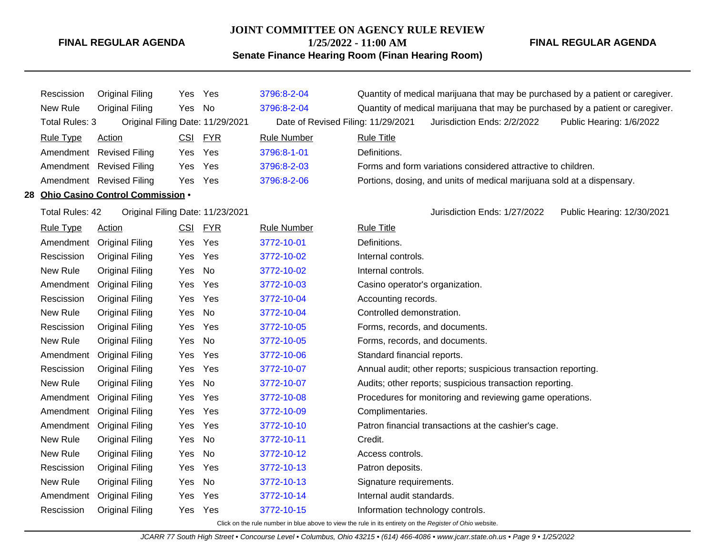# **JOINT COMMITTEE ON AGENCY RULE REVIEW**

**1/25/2022 - 11:00 AM**

**Senate Finance Hearing Room (Finan Hearing Room)**

**FINAL REGULAR AGENDA**

| Rescission       | Original Filing                     | Yes Yes |         | 3796:8-2-04                        | Quantity of medical marijuana that may be purchased by a patient or caregiver. |  |  |  |  |  |
|------------------|-------------------------------------|---------|---------|------------------------------------|--------------------------------------------------------------------------------|--|--|--|--|--|
| New Rule         | Original Filing                     | Yes No  |         | 3796:8-2-04                        | Quantity of medical marijuana that may be purchased by a patient or caregiver. |  |  |  |  |  |
| Total Rules: 3   | Original Filing Date: 11/29/2021    |         |         | Date of Revised Filing: 11/29/2021 | Jurisdiction Ends: 2/2/2022<br>Public Hearing: 1/6/2022                        |  |  |  |  |  |
| <b>Rule Type</b> | Action                              |         | CSI FYR | <b>Rule Number</b>                 | <b>Rule Title</b>                                                              |  |  |  |  |  |
|                  | Amendment Revised Filing            | Yes Yes |         | 3796:8-1-01                        | Definitions.                                                                   |  |  |  |  |  |
|                  | Amendment Revised Filing            | Yes Yes |         | 3796:8-2-03                        | Forms and form variations considered attractive to children.                   |  |  |  |  |  |
|                  | Amendment Revised Filing            | Yes Yes |         | 3796:8-2-06                        | Portions, dosing, and units of medical marijuana sold at a dispensary.         |  |  |  |  |  |
|                  | 28 Ohio Casino Control Commission . |         |         |                                    |                                                                                |  |  |  |  |  |

Total Rules: 42 Original Filing Date: 11/23/2021 Jurisdiction Ends: 1/27/2022 Public Hearing: 12/30/2021

| <b>Rule Type</b> | <b>Action</b>          | <u>CSI</u> | <b>FYR</b> | <b>Rule Number</b> | <b>Rule Title</b>                                              |
|------------------|------------------------|------------|------------|--------------------|----------------------------------------------------------------|
| Amendment        | <b>Original Filing</b> | Yes        | Yes        | 3772-10-01         | Definitions.                                                   |
| Rescission       | <b>Original Filing</b> | Yes        | Yes        | 3772-10-02         | Internal controls.                                             |
| New Rule         | Original Filing        | Yes        | No         | 3772-10-02         | Internal controls.                                             |
| Amendment        | <b>Original Filing</b> | Yes        | Yes        | 3772-10-03         | Casino operator's organization.                                |
| Rescission       | Original Filing        | Yes        | Yes        | 3772-10-04         | Accounting records.                                            |
| New Rule         | <b>Original Filing</b> | Yes        | No         | 3772-10-04         | Controlled demonstration.                                      |
| Rescission       | <b>Original Filing</b> | Yes        | Yes        | 3772-10-05         | Forms, records, and documents.                                 |
| New Rule         | <b>Original Filing</b> | Yes        | No         | 3772-10-05         | Forms, records, and documents.                                 |
| Amendment        | <b>Original Filing</b> | Yes        | Yes        | 3772-10-06         | Standard financial reports.                                    |
| Rescission       | Original Filing        | Yes        | Yes        | 3772-10-07         | Annual audit; other reports; suspicious transaction reporting. |
| New Rule         | <b>Original Filing</b> | Yes        | No         | 3772-10-07         | Audits; other reports; suspicious transaction reporting.       |
| Amendment        | <b>Original Filing</b> | Yes        | Yes        | 3772-10-08         | Procedures for monitoring and reviewing game operations.       |
| Amendment        | <b>Original Filing</b> | Yes        | Yes        | 3772-10-09         | Complimentaries.                                               |
| Amendment        | Original Filing        | Yes        | Yes        | 3772-10-10         | Patron financial transactions at the cashier's cage.           |
| New Rule         | Original Filing        | Yes        | No         | 3772-10-11         | Credit.                                                        |
| New Rule         | <b>Original Filing</b> | Yes        | No         | 3772-10-12         | Access controls.                                               |
| Rescission       | Original Filing        | Yes        | Yes        | 3772-10-13         | Patron deposits.                                               |
| New Rule         | Original Filing        | Yes        | No.        | 3772-10-13         | Signature requirements.                                        |
| Amendment        | <b>Original Filing</b> | Yes        | Yes        | 3772-10-14         | Internal audit standards.                                      |
| Rescission       | Original Filing        | Yes        | Yes        | 3772-10-15         | Information technology controls.                               |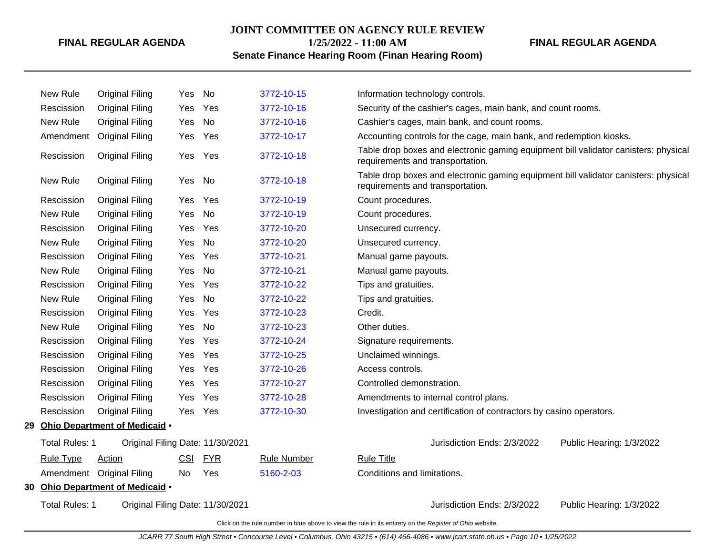#### **JOINT COMMITTEE ON AGENCY RULE REVIEW**

**1/25/2022 - 11:00 AM**

# **Senate Finance Hearing Room (Finan Hearing Room)**

**FINAL REGULAR AGENDA**

| New Rule              | <b>Original Filing</b>           | Yes        | No         | 3772-10-15         | Information technology controls.                                                                                        |
|-----------------------|----------------------------------|------------|------------|--------------------|-------------------------------------------------------------------------------------------------------------------------|
| Rescission            | <b>Original Filing</b>           | Yes        | Yes        | 3772-10-16         | Security of the cashier's cages, main bank, and count rooms.                                                            |
| New Rule              | <b>Original Filing</b>           | Yes        | No         | 3772-10-16         | Cashier's cages, main bank, and count rooms.                                                                            |
| Amendment             | <b>Original Filing</b>           | Yes        | Yes        | 3772-10-17         | Accounting controls for the cage, main bank, and redemption kiosks.                                                     |
| Rescission            | <b>Original Filing</b>           | Yes        | Yes        | 3772-10-18         | Table drop boxes and electronic gaming equipment bill validator canisters: physical<br>requirements and transportation. |
| New Rule              | <b>Original Filing</b>           | Yes        | <b>No</b>  | 3772-10-18         | Table drop boxes and electronic gaming equipment bill validator canisters: physical<br>requirements and transportation. |
| Rescission            | <b>Original Filing</b>           | Yes        | Yes        | 3772-10-19         | Count procedures.                                                                                                       |
| New Rule              | <b>Original Filing</b>           | Yes        | No         | 3772-10-19         | Count procedures.                                                                                                       |
| Rescission            | <b>Original Filing</b>           | Yes        | Yes        | 3772-10-20         | Unsecured currency.                                                                                                     |
| New Rule              | <b>Original Filing</b>           | Yes        | <b>No</b>  | 3772-10-20         | Unsecured currency.                                                                                                     |
| Rescission            | <b>Original Filing</b>           | Yes        | Yes        | 3772-10-21         | Manual game payouts.                                                                                                    |
| New Rule              | <b>Original Filing</b>           | Yes        | No         | 3772-10-21         | Manual game payouts.                                                                                                    |
| Rescission            | <b>Original Filing</b>           | Yes        | Yes        | 3772-10-22         | Tips and gratuities.                                                                                                    |
| New Rule              | <b>Original Filing</b>           | Yes        | No         | 3772-10-22         | Tips and gratuities.                                                                                                    |
| Rescission            | <b>Original Filing</b>           | Yes        | Yes        | 3772-10-23         | Credit.                                                                                                                 |
| New Rule              | <b>Original Filing</b>           | Yes        | <b>No</b>  | 3772-10-23         | Other duties.                                                                                                           |
| Rescission            | <b>Original Filing</b>           | Yes        | Yes        | 3772-10-24         | Signature requirements.                                                                                                 |
| Rescission            | <b>Original Filing</b>           | Yes        | Yes        | 3772-10-25         | Unclaimed winnings.                                                                                                     |
| Rescission            | <b>Original Filing</b>           | Yes        | Yes        | 3772-10-26         | Access controls.                                                                                                        |
| Rescission            | <b>Original Filing</b>           | Yes        | Yes        | 3772-10-27         | Controlled demonstration.                                                                                               |
| Rescission            | <b>Original Filing</b>           | Yes        | Yes        | 3772-10-28         | Amendments to internal control plans.                                                                                   |
| Rescission            | <b>Original Filing</b>           | Yes        | Yes        | 3772-10-30         | Investigation and certification of contractors by casino operators.                                                     |
|                       | 29 Ohio Department of Medicaid . |            |            |                    |                                                                                                                         |
| <b>Total Rules: 1</b> | Original Filing Date: 11/30/2021 |            |            |                    | Jurisdiction Ends: 2/3/2022<br>Public Hearing: 1/3/2022                                                                 |
| <b>Rule Type</b>      | Action                           | <b>CSI</b> | <b>FYR</b> | <b>Rule Number</b> | <b>Rule Title</b>                                                                                                       |
|                       | Amendment Original Filing        | No         | Yes        | 5160-2-03          | Conditions and limitations.                                                                                             |
|                       | 30 Ohio Department of Medicaid . |            |            |                    |                                                                                                                         |
| <b>Total Rules: 1</b> | Original Filing Date: 11/30/2021 |            |            |                    | Jurisdiction Ends: 2/3/2022<br>Public Hearing: 1/3/2022                                                                 |
|                       |                                  |            |            |                    |                                                                                                                         |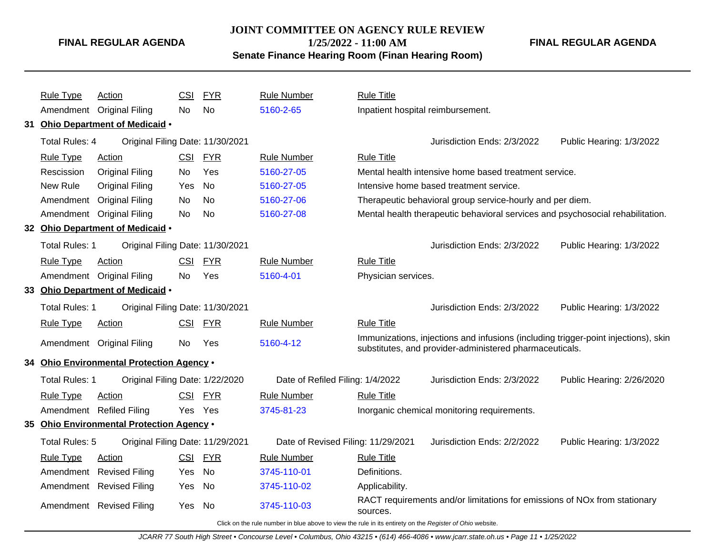# **JOINT COMMITTEE ON AGENCY RULE REVIEW 1/25/2022 - 11:00 AM**

**Senate Finance Hearing Room (Finan Hearing Room)**

**FINAL REGULAR AGENDA**

| Rule Type                | Action                                    | <b>CSI</b> | <b>FYR</b> | <b>Rule Number</b>                 | <b>Rule Title</b>                 |                                                                                                                                               |                           |
|--------------------------|-------------------------------------------|------------|------------|------------------------------------|-----------------------------------|-----------------------------------------------------------------------------------------------------------------------------------------------|---------------------------|
|                          | Amendment Original Filing                 | No.        | <b>No</b>  | 5160-2-65                          | Inpatient hospital reimbursement. |                                                                                                                                               |                           |
|                          | 31 Ohio Department of Medicaid .          |            |            |                                    |                                   |                                                                                                                                               |                           |
| <b>Total Rules: 4</b>    | Original Filing Date: 11/30/2021          |            |            |                                    |                                   | Jurisdiction Ends: 2/3/2022                                                                                                                   | Public Hearing: 1/3/2022  |
| <b>Rule Type</b>         | Action                                    | <b>CSI</b> | <b>FYR</b> | <b>Rule Number</b>                 | <b>Rule Title</b>                 |                                                                                                                                               |                           |
| Rescission               | <b>Original Filing</b>                    | No.        | Yes        | 5160-27-05                         |                                   | Mental health intensive home based treatment service.                                                                                         |                           |
| New Rule                 | <b>Original Filing</b>                    | Yes        | No         | 5160-27-05                         |                                   | Intensive home based treatment service.                                                                                                       |                           |
| Amendment                | <b>Original Filing</b>                    | No.        | <b>No</b>  | 5160-27-06                         |                                   | Therapeutic behavioral group service-hourly and per diem.                                                                                     |                           |
|                          | Amendment Original Filing                 | No.        | No         | 5160-27-08                         |                                   | Mental health therapeutic behavioral services and psychosocial rehabilitation.                                                                |                           |
|                          | 32 Ohio Department of Medicaid .          |            |            |                                    |                                   |                                                                                                                                               |                           |
| <b>Total Rules: 1</b>    | Original Filing Date: 11/30/2021          |            |            |                                    |                                   | Jurisdiction Ends: 2/3/2022                                                                                                                   | Public Hearing: 1/3/2022  |
| <b>Rule Type</b>         | Action                                    | <b>CSI</b> | <b>FYR</b> | <b>Rule Number</b>                 | <b>Rule Title</b>                 |                                                                                                                                               |                           |
|                          | Amendment Original Filing                 | <b>No</b>  | Yes        | 5160-4-01                          | Physician services.               |                                                                                                                                               |                           |
|                          | 33 Ohio Department of Medicaid .          |            |            |                                    |                                   |                                                                                                                                               |                           |
| <b>Total Rules: 1</b>    | Original Filing Date: 11/30/2021          |            |            |                                    |                                   | Jurisdiction Ends: 2/3/2022                                                                                                                   | Public Hearing: 1/3/2022  |
| <b>Rule Type</b>         | Action                                    | CSI        | <b>FYR</b> | <b>Rule Number</b>                 | <b>Rule Title</b>                 |                                                                                                                                               |                           |
|                          | Amendment Original Filing                 | No.        | Yes        | 5160-4-12                          |                                   | Immunizations, injections and infusions (including trigger-point injections), skin<br>substitutes, and provider-administered pharmaceuticals. |                           |
|                          | 34 Ohio Environmental Protection Agency . |            |            |                                    |                                   |                                                                                                                                               |                           |
| <b>Total Rules: 1</b>    | Original Filing Date: 1/22/2020           |            |            | Date of Refiled Filing: 1/4/2022   |                                   | Jurisdiction Ends: 2/3/2022                                                                                                                   | Public Hearing: 2/26/2020 |
| <b>Rule Type</b>         | Action                                    | CSI        | <b>FYR</b> | <b>Rule Number</b>                 | <b>Rule Title</b>                 |                                                                                                                                               |                           |
| Amendment Refiled Filing |                                           | Yes Yes    |            | 3745-81-23                         |                                   | Inorganic chemical monitoring requirements.                                                                                                   |                           |
|                          | 35 Ohio Environmental Protection Agency . |            |            |                                    |                                   |                                                                                                                                               |                           |
| Total Rules: 5           | Original Filing Date: 11/29/2021          |            |            | Date of Revised Filing: 11/29/2021 |                                   | Jurisdiction Ends: 2/2/2022                                                                                                                   | Public Hearing: 1/3/2022  |
| <b>Rule Type</b>         | <b>Action</b>                             | CSI        | <b>FYR</b> | <b>Rule Number</b>                 | <b>Rule Title</b>                 |                                                                                                                                               |                           |
|                          | Amendment Revised Filing                  | Yes        | <b>No</b>  | 3745-110-01                        | Definitions.                      |                                                                                                                                               |                           |
|                          | Amendment Revised Filing                  | Yes        | <b>No</b>  | 3745-110-02                        | Applicability.                    |                                                                                                                                               |                           |
|                          | Amendment Revised Filing                  | Yes        | No.        | 3745-110-03                        | sources.                          | RACT requirements and/or limitations for emissions of NOx from stationary                                                                     |                           |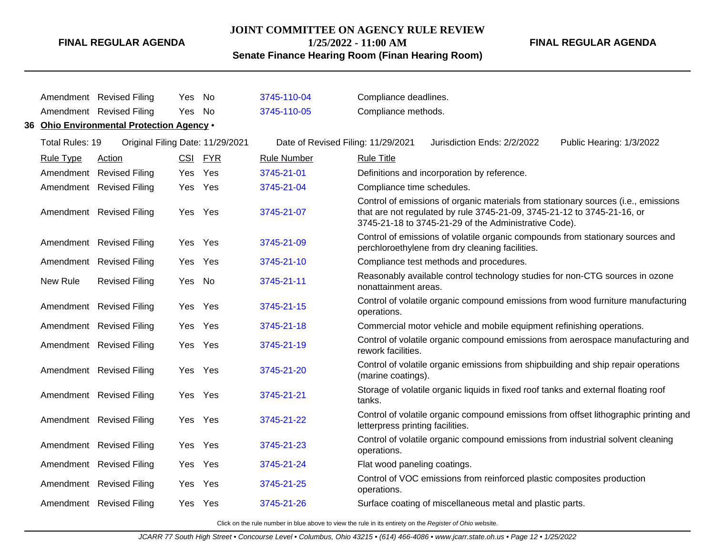# **JOINT COMMITTEE ON AGENCY RULE REVIEW 1/25/2022 - 11:00 AM**

# **FINAL REGULAR AGENDA**

**Senate Finance Hearing Room (Finan Hearing Room)**

|                  | Amendment Revised Filing                  | Yes.       | No         | 3745-110-04                        | Compliance deadlines.                       |                                                                                                                                  |                                                                                      |
|------------------|-------------------------------------------|------------|------------|------------------------------------|---------------------------------------------|----------------------------------------------------------------------------------------------------------------------------------|--------------------------------------------------------------------------------------|
|                  | Amendment Revised Filing                  | Yes No     |            | 3745-110-05                        | Compliance methods.                         |                                                                                                                                  |                                                                                      |
|                  | 36 Ohio Environmental Protection Agency . |            |            |                                    |                                             |                                                                                                                                  |                                                                                      |
| Total Rules: 19  | Original Filing Date: 11/29/2021          |            |            | Date of Revised Filing: 11/29/2021 |                                             | Jurisdiction Ends: 2/2/2022                                                                                                      | Public Hearing: 1/3/2022                                                             |
| <b>Rule Type</b> | Action                                    | <b>CSI</b> | <b>FYR</b> | <b>Rule Number</b>                 | <b>Rule Title</b>                           |                                                                                                                                  |                                                                                      |
|                  | Amendment Revised Filing                  | Yes        | Yes        | 3745-21-01                         | Definitions and incorporation by reference. |                                                                                                                                  |                                                                                      |
|                  | Amendment Revised Filing                  | Yes Yes    |            | 3745-21-04                         | Compliance time schedules.                  |                                                                                                                                  |                                                                                      |
|                  | Amendment Revised Filing                  | Yes Yes    |            | 3745-21-07                         |                                             | that are not regulated by rule 3745-21-09, 3745-21-12 to 3745-21-16, or<br>3745-21-18 to 3745-21-29 of the Administrative Code). | Control of emissions of organic materials from stationary sources (i.e., emissions   |
|                  | Amendment Revised Filing                  | Yes Yes    |            | 3745-21-09                         |                                             | perchloroethylene from dry cleaning facilities.                                                                                  | Control of emissions of volatile organic compounds from stationary sources and       |
|                  | Amendment Revised Filing                  | Yes        | Yes        | 3745-21-10                         | Compliance test methods and procedures.     |                                                                                                                                  |                                                                                      |
| New Rule         | <b>Revised Filing</b>                     | Yes        | - No       | 3745-21-11                         | nonattainment areas.                        |                                                                                                                                  | Reasonably available control technology studies for non-CTG sources in ozone         |
|                  | Amendment Revised Filing                  | Yes.       | Yes        | 3745-21-15                         | operations.                                 |                                                                                                                                  | Control of volatile organic compound emissions from wood furniture manufacturing     |
|                  | Amendment Revised Filing                  | Yes Yes    |            | 3745-21-18                         |                                             | Commercial motor vehicle and mobile equipment refinishing operations.                                                            |                                                                                      |
|                  | Amendment Revised Filing                  | Yes Yes    |            | 3745-21-19                         | rework facilities.                          |                                                                                                                                  | Control of volatile organic compound emissions from aerospace manufacturing and      |
|                  | Amendment Revised Filing                  | Yes Yes    |            | 3745-21-20                         | (marine coatings).                          |                                                                                                                                  | Control of volatile organic emissions from shipbuilding and ship repair operations   |
|                  | Amendment Revised Filing                  | Yes Yes    |            | 3745-21-21                         | tanks.                                      | Storage of volatile organic liquids in fixed roof tanks and external floating roof                                               |                                                                                      |
|                  | Amendment Revised Filing                  | Yes Yes    |            | 3745-21-22                         | letterpress printing facilities.            |                                                                                                                                  | Control of volatile organic compound emissions from offset lithographic printing and |
|                  | Amendment Revised Filing                  | Yes Yes    |            | 3745-21-23                         | operations.                                 |                                                                                                                                  | Control of volatile organic compound emissions from industrial solvent cleaning      |
|                  | Amendment Revised Filing                  | Yes        | Yes        | 3745-21-24                         | Flat wood paneling coatings.                |                                                                                                                                  |                                                                                      |
|                  | Amendment Revised Filing                  | Yes Yes    |            | 3745-21-25                         | operations.                                 | Control of VOC emissions from reinforced plastic composites production                                                           |                                                                                      |
|                  | Amendment Revised Filing                  | Yes Yes    |            | 3745-21-26                         |                                             | Surface coating of miscellaneous metal and plastic parts.                                                                        |                                                                                      |
|                  |                                           |            |            |                                    |                                             |                                                                                                                                  |                                                                                      |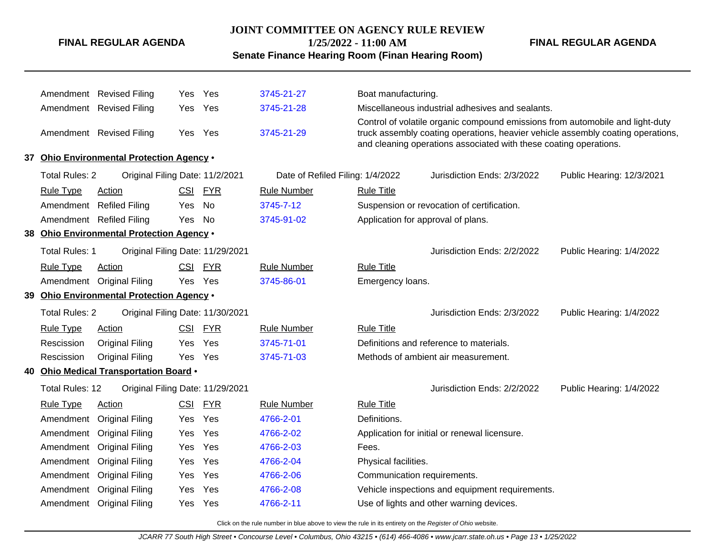# **JOINT COMMITTEE ON AGENCY RULE REVIEW**

**1/25/2022 - 11:00 AM**

**Senate Finance Hearing Room (Finan Hearing Room)**

**FINAL REGULAR AGENDA**

|                        | Amendment Revised Filing                  | Yes.       | Yes        | 3745-21-27                       | Boat manufacturing.                |                                                                                                                                                                                                                                       |                           |  |
|------------------------|-------------------------------------------|------------|------------|----------------------------------|------------------------------------|---------------------------------------------------------------------------------------------------------------------------------------------------------------------------------------------------------------------------------------|---------------------------|--|
| Amendment              | <b>Revised Filing</b>                     | Yes        | Yes        | 3745-21-28                       |                                    | Miscellaneous industrial adhesives and sealants.                                                                                                                                                                                      |                           |  |
|                        | Amendment Revised Filing                  | Yes        | Yes        | 3745-21-29                       |                                    | Control of volatile organic compound emissions from automobile and light-duty<br>truck assembly coating operations, heavier vehicle assembly coating operations,<br>and cleaning operations associated with these coating operations. |                           |  |
|                        | 37 Ohio Environmental Protection Agency . |            |            |                                  |                                    |                                                                                                                                                                                                                                       |                           |  |
| <b>Total Rules: 2</b>  | Original Filing Date: 11/2/2021           |            |            | Date of Refiled Filing: 1/4/2022 |                                    | Jurisdiction Ends: 2/3/2022                                                                                                                                                                                                           | Public Hearing: 12/3/2021 |  |
| <b>Rule Type</b>       | Action                                    | <b>CSI</b> | <b>FYR</b> | <b>Rule Number</b>               | <b>Rule Title</b>                  |                                                                                                                                                                                                                                       |                           |  |
| Amendment              | <b>Refiled Filing</b>                     | Yes        | No         | 3745-7-12                        |                                    | Suspension or revocation of certification.                                                                                                                                                                                            |                           |  |
|                        | Amendment Refiled Filing                  | Yes        | No         | 3745-91-02                       | Application for approval of plans. |                                                                                                                                                                                                                                       |                           |  |
|                        | 38 Ohio Environmental Protection Agency . |            |            |                                  |                                    |                                                                                                                                                                                                                                       |                           |  |
| Total Rules: 1         | Original Filing Date: 11/29/2021          |            |            |                                  |                                    | Jurisdiction Ends: 2/2/2022                                                                                                                                                                                                           | Public Hearing: 1/4/2022  |  |
| <b>Rule Type</b>       | Action                                    | <b>CSI</b> | <b>FYR</b> | <b>Rule Number</b>               | <b>Rule Title</b>                  |                                                                                                                                                                                                                                       |                           |  |
|                        | Amendment Original Filing                 | Yes        | Yes        | 3745-86-01                       | Emergency loans.                   |                                                                                                                                                                                                                                       |                           |  |
|                        | 39 Ohio Environmental Protection Agency . |            |            |                                  |                                    |                                                                                                                                                                                                                                       |                           |  |
| <b>Total Rules: 2</b>  | Original Filing Date: 11/30/2021          |            |            |                                  |                                    | Jurisdiction Ends: 2/3/2022                                                                                                                                                                                                           | Public Hearing: 1/4/2022  |  |
| Rule Type              | Action                                    | <b>CSI</b> | <b>FYR</b> | Rule Number                      | <b>Rule Title</b>                  |                                                                                                                                                                                                                                       |                           |  |
| Rescission             | <b>Original Filing</b>                    | Yes        | Yes        | 3745-71-01                       |                                    | Definitions and reference to materials.                                                                                                                                                                                               |                           |  |
| Rescission             | <b>Original Filing</b>                    | Yes        | Yes        | 3745-71-03                       |                                    | Methods of ambient air measurement.                                                                                                                                                                                                   |                           |  |
|                        | 40 Ohio Medical Transportation Board .    |            |            |                                  |                                    |                                                                                                                                                                                                                                       |                           |  |
| <b>Total Rules: 12</b> | Original Filing Date: 11/29/2021          |            |            |                                  |                                    | Jurisdiction Ends: 2/2/2022                                                                                                                                                                                                           | Public Hearing: 1/4/2022  |  |
| <b>Rule Type</b>       | Action                                    | <b>CSI</b> | <b>FYR</b> | <b>Rule Number</b>               | <b>Rule Title</b>                  |                                                                                                                                                                                                                                       |                           |  |
| Amendment              | <b>Original Filing</b>                    | Yes        | Yes        | 4766-2-01                        | Definitions.                       |                                                                                                                                                                                                                                       |                           |  |
|                        | Amendment Original Filing                 | Yes        | Yes        | 4766-2-02                        |                                    | Application for initial or renewal licensure.                                                                                                                                                                                         |                           |  |
| Amendment              | <b>Original Filing</b>                    | <b>Yes</b> | Yes        | 4766-2-03                        | Fees.                              |                                                                                                                                                                                                                                       |                           |  |
| Amendment              | <b>Original Filing</b>                    | Yes        | Yes        | 4766-2-04                        | Physical facilities.               |                                                                                                                                                                                                                                       |                           |  |
| Amendment              | <b>Original Filing</b>                    | Yes        | Yes        | 4766-2-06                        | Communication requirements.        |                                                                                                                                                                                                                                       |                           |  |
|                        | Amendment Original Filing                 | Yes        | Yes        | 4766-2-08                        |                                    | Vehicle inspections and equipment requirements.                                                                                                                                                                                       |                           |  |
|                        | Amendment Original Filing                 | Yes        | Yes        | 4766-2-11                        |                                    | Use of lights and other warning devices.                                                                                                                                                                                              |                           |  |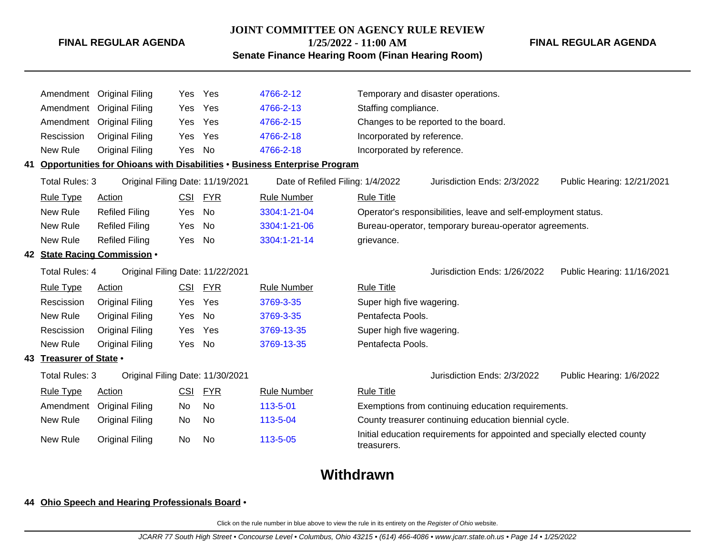#### **JOINT COMMITTEE ON AGENCY RULE REVIEW**

**1/25/2022 - 11:00 AM**

**Senate Finance Hearing Room (Finan Hearing Room)**

Amendment Original Filing Yes Yes [4766-2-12](http://www.registerofohio.state.oh.us/jsps/publicdisplayrules/processPublicDisplayRules.jsp?entered_rule_no=4766-2-12&doWhat=GETBYRULENUM&raID=0) Temporary and disaster operations. Amendment Original Filing Yes Yes [4766-2-13](http://www.registerofohio.state.oh.us/jsps/publicdisplayrules/processPublicDisplayRules.jsp?entered_rule_no=4766-2-13&doWhat=GETBYRULENUM&raID=0) Staffing compliance. Amendment Original Filing Yes Yes [4766-2-15](http://www.registerofohio.state.oh.us/jsps/publicdisplayrules/processPublicDisplayRules.jsp?entered_rule_no=4766-2-15&doWhat=GETBYRULENUM&raID=0) Changes to be reported to the board. Rescission Original Filing Yes Yes [4766-2-18](http://www.registerofohio.state.oh.us/jsps/publicdisplayrules/processPublicDisplayRules.jsp?entered_rule_no=4766-2-18&doWhat=GETBYRULENUM&raID=0) Incorporated by reference. New Rule Original Filing Yes No [4766-2-18](http://www.registerofohio.state.oh.us/jsps/publicdisplayrules/processPublicDisplayRules.jsp?entered_rule_no=4766-2-18&doWhat=GETBYRULENUM&raID=0) Incorporated by reference. **41 Opportunities for Ohioans with Disabilities** • **Business Enterprise Program** Total Rules: 3 Original Filing Date: 11/19/2021 Date of Refiled Filing: 1/4/2022 Jurisdiction Ends: 2/3/2022 Public Hearing: 12/21/2021 Rule Type Action **CSI FYR** Rule Number Rule Title New Rule Refiled Filing Yes No [3304:1-21-04](http://www.registerofohio.state.oh.us/jsps/publicdisplayrules/processPublicDisplayRules.jsp?entered_rule_no=3304:1-21-04&doWhat=GETBYRULENUM&raID=0) Operator's responsibilities, leave and self-employment status. New Rule Refiled Filing Yes No [3304:1-21-06](http://www.registerofohio.state.oh.us/jsps/publicdisplayrules/processPublicDisplayRules.jsp?entered_rule_no=3304:1-21-06&doWhat=GETBYRULENUM&raID=0) Bureau-operator, temporary bureau-operator agreements. New Rule Refiled Filing Yes No [3304:1-21-14](http://www.registerofohio.state.oh.us/jsps/publicdisplayrules/processPublicDisplayRules.jsp?entered_rule_no=3304:1-21-14&doWhat=GETBYRULENUM&raID=0) grievance. **42 State Racing Commission** • Total Rules: 4 Original Filing Date: 11/22/2021 Jurisdiction Ends: 1/26/2022 Public Hearing: 11/16/2021 Rule Type Action **CSI FYR** Rule Number Rule Title Rescission Original Filing Yes Yes [3769-3-35](http://www.registerofohio.state.oh.us/jsps/publicdisplayrules/processPublicDisplayRules.jsp?entered_rule_no=3769-3-35&doWhat=GETBYRULENUM&raID=0) Super high five wagering. New Rule Original Filing Yes No [3769-3-35](http://www.registerofohio.state.oh.us/jsps/publicdisplayrules/processPublicDisplayRules.jsp?entered_rule_no=3769-3-35&doWhat=GETBYRULENUM&raID=0) Pentafecta Pools. Rescission Original Filing Yes Yes [3769-13-35](http://www.registerofohio.state.oh.us/jsps/publicdisplayrules/processPublicDisplayRules.jsp?entered_rule_no=3769-13-35&doWhat=GETBYRULENUM&raID=0) Super high five wagering. New Rule Original Filing Yes No [3769-13-35](http://www.registerofohio.state.oh.us/jsps/publicdisplayrules/processPublicDisplayRules.jsp?entered_rule_no=3769-13-35&doWhat=GETBYRULENUM&raID=0) Pentafecta Pools. **43 Treasurer of State** • Total Rules: 3 Original Filing Date: 11/30/2021 Jurisdiction Ends: 2/3/2022 Public Hearing: 1/6/2022 Rule Type Action CSI FYR Rule Number Rule Title Amendment Original Filing No No [113-5-01](http://www.registerofohio.state.oh.us/jsps/publicdisplayrules/processPublicDisplayRules.jsp?entered_rule_no=113-5-01&doWhat=GETBYRULENUM&raID=0) Exemptions from continuing education requirements. New Rule Original Filing No No [113-5-04](http://www.registerofohio.state.oh.us/jsps/publicdisplayrules/processPublicDisplayRules.jsp?entered_rule_no=113-5-04&doWhat=GETBYRULENUM&raID=0) County treasurer continuing education biennial cycle. New Rule Original Filing No No [113-5-05](http://www.registerofohio.state.oh.us/jsps/publicdisplayrules/processPublicDisplayRules.jsp?entered_rule_no=113-5-05&doWhat=GETBYRULENUM&raID=0) Initial education requirements for appointed and specially elected county treasurers.

# **Withdrawn**

#### **44 Ohio Speech and Hearing Professionals Board** •

Click on the rule number in blue above to view the rule in its entirety on the Register of Ohio website.

**FINAL REGULAR AGENDA**